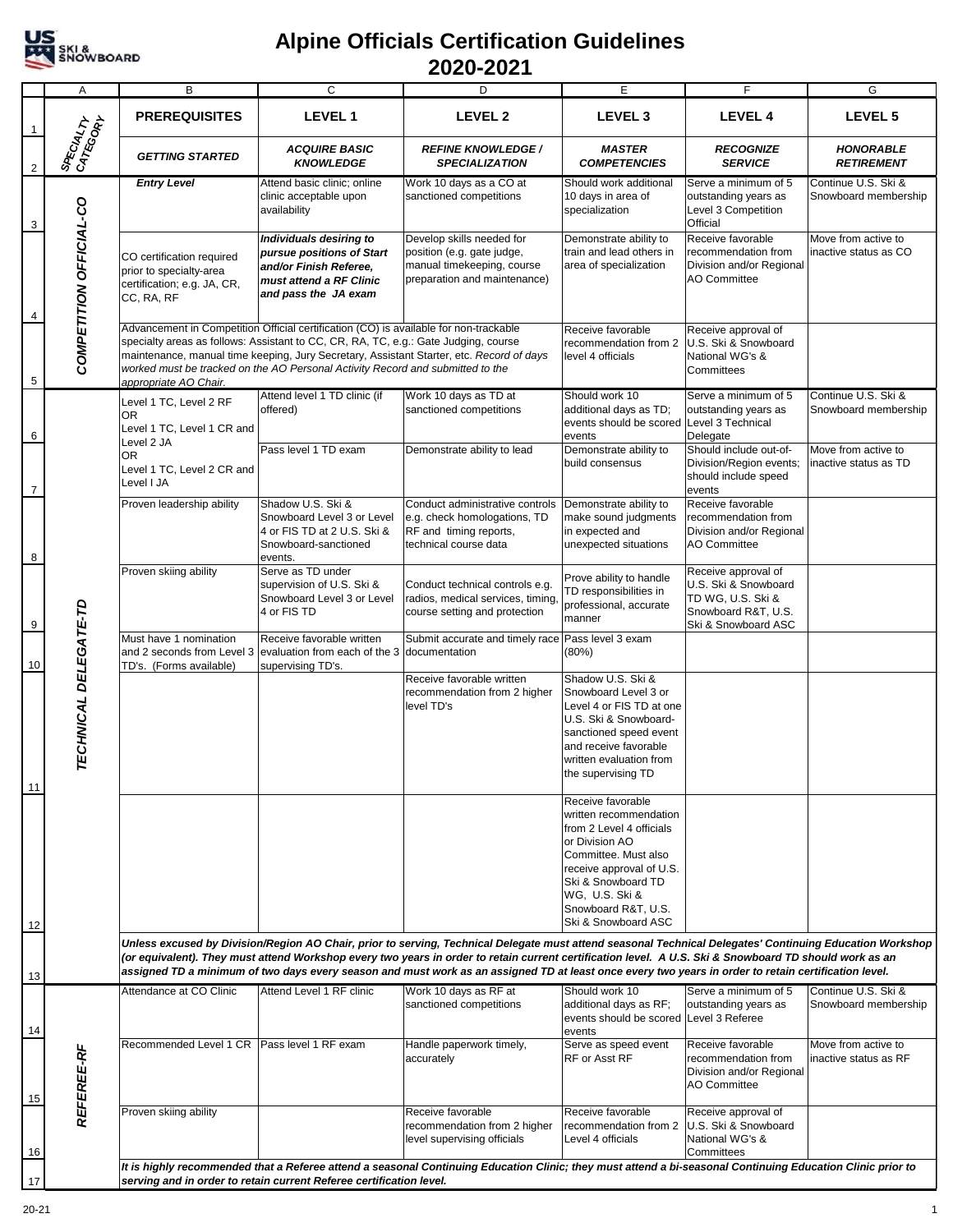

## **Alpine Officials Certification Guidelines 2020-2021**

|                | Α                       | B                                                                                                                                                                                                                                                                                                                                                                                                                                                                          | $\overline{c}$                                                                                                                                                                                                                                                 | D                                                                                                                                                          | E                                                                                                                                                                                                                                   | F                                                                                                              | G                                            |  |
|----------------|-------------------------|----------------------------------------------------------------------------------------------------------------------------------------------------------------------------------------------------------------------------------------------------------------------------------------------------------------------------------------------------------------------------------------------------------------------------------------------------------------------------|----------------------------------------------------------------------------------------------------------------------------------------------------------------------------------------------------------------------------------------------------------------|------------------------------------------------------------------------------------------------------------------------------------------------------------|-------------------------------------------------------------------------------------------------------------------------------------------------------------------------------------------------------------------------------------|----------------------------------------------------------------------------------------------------------------|----------------------------------------------|--|
| -1             |                         | <b>PREREQUISITES</b>                                                                                                                                                                                                                                                                                                                                                                                                                                                       | <b>LEVEL1</b>                                                                                                                                                                                                                                                  | LEVEL <sub>2</sub>                                                                                                                                         | LEVEL <sub>3</sub>                                                                                                                                                                                                                  | <b>LEVEL 4</b>                                                                                                 | LEVEL <sub>5</sub>                           |  |
| $\overline{2}$ | SPECIALTY               | <b>GETTING STARTED</b>                                                                                                                                                                                                                                                                                                                                                                                                                                                     | <b>ACQUIRE BASIC</b><br><b>KNOWLEDGE</b>                                                                                                                                                                                                                       | <b>REFINE KNOWLEDGE /</b><br><b>SPECIALIZATION</b>                                                                                                         | <b>MASTER</b><br><b>COMPETENCIES</b>                                                                                                                                                                                                | <b>RECOGNIZE</b><br><b>SERVICE</b>                                                                             | <b>HONORABLE</b><br><b>RETIREMENT</b>        |  |
| 3              |                         | <b>Entry Level</b>                                                                                                                                                                                                                                                                                                                                                                                                                                                         | Attend basic clinic; online<br>clinic acceptable upon<br>availability                                                                                                                                                                                          | Work 10 days as a CO at<br>sanctioned competitions                                                                                                         | Should work additional<br>10 days in area of<br>specialization                                                                                                                                                                      | Serve a minimum of 5<br>outstanding years as<br>Level 3 Competition<br>Official                                | Continue U.S. Ski &<br>Snowboard membership  |  |
| $\overline{4}$ | COMPETITION OFFICIAL-CO | CO certification required<br>prior to specialty-area<br>certification; e.g. JA, CR,<br>CC, RA, RF                                                                                                                                                                                                                                                                                                                                                                          | Individuals desiring to<br>pursue positions of Start<br>and/or Finish Referee,<br>must attend a RF Clinic<br>and pass the JA exam                                                                                                                              | Develop skills needed for<br>position (e.g. gate judge,<br>manual timekeeping, course<br>preparation and maintenance)                                      | Demonstrate ability to<br>train and lead others in<br>area of specialization                                                                                                                                                        | Receive favorable<br>recommendation from<br>Division and/or Regional<br><b>AO Committee</b>                    | Move from active to<br>inactive status as CO |  |
| 5              |                         | appropriate AO Chair.                                                                                                                                                                                                                                                                                                                                                                                                                                                      | Advancement in Competition Official certification (CO) is available for non-trackable<br>specialty areas as follows: Assistant to CC, CR, RA, TC, e.g.: Gate Judging, course<br>worked must be tracked on the AO Personal Activity Record and submitted to the | maintenance, manual time keeping, Jury Secretary, Assistant Starter, etc. Record of days                                                                   | Receive favorable<br>recommendation from 2<br>level 4 officials                                                                                                                                                                     | Receive approval of<br>U.S. Ski & Snowboard<br>National WG's &<br>Committees                                   |                                              |  |
| 6              |                         | Level 1 TC, Level 2 RF<br>OR.<br>Level 1 TC, Level 1 CR and                                                                                                                                                                                                                                                                                                                                                                                                                | Attend level 1 TD clinic (if<br>offered)                                                                                                                                                                                                                       | Work 10 days as TD at<br>sanctioned competitions                                                                                                           | Should work 10<br>additional days as TD;<br>events should be scored<br>events                                                                                                                                                       | Serve a minimum of 5<br>outstanding years as<br>Level 3 Technical<br>Delegate                                  | Continue U.S. Ski &<br>Snowboard membership  |  |
| $\overline{7}$ |                         | Level 2 JA<br><b>OR</b><br>Level 1 TC. Level 2 CR and<br>Level I JA                                                                                                                                                                                                                                                                                                                                                                                                        | Pass level 1 TD exam                                                                                                                                                                                                                                           | Demonstrate ability to lead                                                                                                                                | Demonstrate ability to<br>build consensus                                                                                                                                                                                           | Should include out-of-<br>Division/Region events;<br>should include speed<br>events                            | Move from active to<br>inactive status as TD |  |
| 8              |                         | Proven leadership ability                                                                                                                                                                                                                                                                                                                                                                                                                                                  | Shadow U.S. Ski &<br>Snowboard Level 3 or Level<br>4 or FIS TD at 2 U.S. Ski &<br>Snowboard-sanctioned<br>events.                                                                                                                                              | Conduct administrative controls<br>e.g. check homologations, TD<br>RF and timing reports,<br>technical course data                                         | Demonstrate ability to<br>make sound judgments<br>in expected and<br>unexpected situations                                                                                                                                          | Receive favorable<br>recommendation from<br>Division and/or Regional<br><b>AO Committee</b>                    |                                              |  |
| 9              |                         | Proven skiing ability                                                                                                                                                                                                                                                                                                                                                                                                                                                      | Serve as TD under<br>supervision of U.S. Ski &<br>Snowboard Level 3 or Level<br>4 or FIS TD                                                                                                                                                                    | Conduct technical controls e.g.<br>radios, medical services, timing,<br>course setting and protection                                                      | Prove ability to handle<br>TD responsibilities in<br>professional, accurate<br>manner                                                                                                                                               | Receive approval of<br>U.S. Ski & Snowboard<br>TD WG, U.S. Ski &<br>Snowboard R&T, U.S.<br>Ski & Snowboard ASC |                                              |  |
| 10             |                         | Must have 1 nomination<br>TD's. (Forms available)                                                                                                                                                                                                                                                                                                                                                                                                                          | Receive favorable written<br>and 2 seconds from Level 3 evaluation from each of the 3 documentation<br>supervising TD's.                                                                                                                                       | Submit accurate and timely race Pass level 3 exam                                                                                                          | (80%)                                                                                                                                                                                                                               |                                                                                                                |                                              |  |
| 11             | TECHNICAL DELEGATE-TD   |                                                                                                                                                                                                                                                                                                                                                                                                                                                                            |                                                                                                                                                                                                                                                                | Receive favorable written<br>recommendation from 2 higher<br>level TD's                                                                                    | Shadow U.S. Ski &<br>Snowboard Level 3 or<br>Level 4 or FIS TD at one<br>U.S. Ski & Snowboard-<br>sanctioned speed event<br>and receive favorable<br>written evaluation from<br>the supervising TD                                  |                                                                                                                |                                              |  |
|                |                         |                                                                                                                                                                                                                                                                                                                                                                                                                                                                            |                                                                                                                                                                                                                                                                |                                                                                                                                                            | Receive favorable<br>written recommendation<br>from 2 Level 4 officials<br>or Division AO<br>Committee. Must also<br>receive approval of U.S.<br>Ski & Snowboard TD<br>WG, U.S. Ski &<br>Snowboard R&T, U.S.<br>Ski & Snowboard ASC |                                                                                                                |                                              |  |
| 12<br>13       |                         | Unless excused by Division/Region AO Chair, prior to serving, Technical Delegate must attend seasonal Technical Delegates' Continuing Education Workshop<br>(or equivalent). They must attend Workshop every two years in order to retain current certification level. A U.S. Ski & Snowboard TD should work as an<br>assigned TD a minimum of two days every season and must work as an assigned TD at least once every two years in order to retain certification level. |                                                                                                                                                                                                                                                                |                                                                                                                                                            |                                                                                                                                                                                                                                     |                                                                                                                |                                              |  |
| 14             | <b>REFEREE-RF</b>       | Attendance at CO Clinic                                                                                                                                                                                                                                                                                                                                                                                                                                                    | Attend Level 1 RF clinic                                                                                                                                                                                                                                       | Work 10 days as RF at<br>sanctioned competitions                                                                                                           | Should work 10<br>additional days as RF;<br>events should be scored Level 3 Referee<br>events                                                                                                                                       | Serve a minimum of 5<br>outstanding years as                                                                   | Continue U.S. Ski &<br>Snowboard membership  |  |
| 15             |                         | Recommended Level 1 CR   Pass level 1 RF exam                                                                                                                                                                                                                                                                                                                                                                                                                              |                                                                                                                                                                                                                                                                | Handle paperwork timely,<br>accurately                                                                                                                     | Serve as speed event<br>RF or Asst RF                                                                                                                                                                                               | Receive favorable<br>recommendation from<br>Division and/or Regional<br>AO Committee                           | Move from active to<br>inactive status as RF |  |
| 16             |                         | Proven skiing ability                                                                                                                                                                                                                                                                                                                                                                                                                                                      |                                                                                                                                                                                                                                                                | Receive favorable<br>recommendation from 2 higher<br>level supervising officials                                                                           | Receive favorable<br>recommendation from 2<br>Level 4 officials                                                                                                                                                                     | Receive approval of<br>U.S. Ski & Snowboard<br>National WG's &<br>Committees                                   |                                              |  |
| 17             |                         |                                                                                                                                                                                                                                                                                                                                                                                                                                                                            | serving and in order to retain current Referee certification level.                                                                                                                                                                                            | It is highly recommended that a Referee attend a seasonal Continuing Education Clinic; they must attend a bi-seasonal Continuing Education Clinic prior to |                                                                                                                                                                                                                                     |                                                                                                                |                                              |  |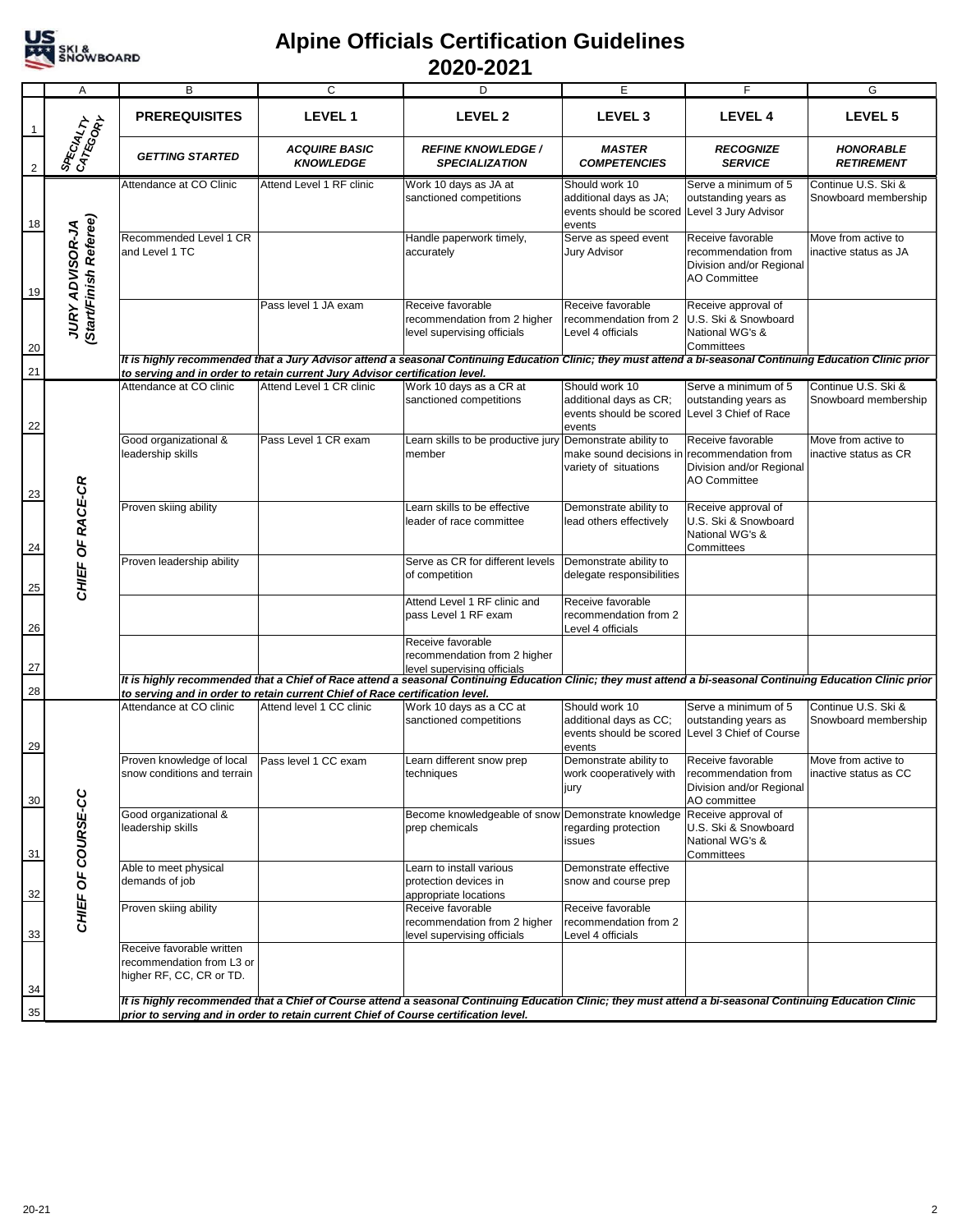

## **Alpine Officials Certification Guidelines 2020-2021**

|                | Α                                                | B                                                                                  | C                                                                                                       | D                                                                                                                                                             | E                                                                                                   | F                                                                                           | G                                            |
|----------------|--------------------------------------------------|------------------------------------------------------------------------------------|---------------------------------------------------------------------------------------------------------|---------------------------------------------------------------------------------------------------------------------------------------------------------------|-----------------------------------------------------------------------------------------------------|---------------------------------------------------------------------------------------------|----------------------------------------------|
| -1             |                                                  | <b>PREREQUISITES</b>                                                               | LEVEL 1                                                                                                 | LEVEL <sub>2</sub>                                                                                                                                            | LEVEL <sub>3</sub>                                                                                  | LEVEL 4                                                                                     | LEVEL 5                                      |
| $\overline{2}$ | SPECIALTY                                        | <b>GETTING STARTED</b>                                                             | <b>ACQUIRE BASIC</b><br><b>KNOWLEDGE</b>                                                                | <b>REFINE KNOWLEDGE /</b><br><b>SPECIALIZATION</b>                                                                                                            | <b>MASTER</b><br><b>COMPETENCIES</b>                                                                | <b>RECOGNIZE</b><br><b>SERVICE</b>                                                          | <b>HONORABLE</b><br><b>RETIREMENT</b>        |
| 18             |                                                  | Attendance at CO Clinic                                                            | Attend Level 1 RF clinic                                                                                | Work 10 days as JA at<br>sanctioned competitions                                                                                                              | Should work 10<br>additional days as JA;<br>events should be scored<br>events                       | Serve a minimum of 5<br>outstanding years as<br>Level 3 Jury Advisor                        | Continue U.S. Ski &<br>Snowboard membership  |
| 19             | (Start/Finish Referee)<br><b>JURY ADVISOR-JA</b> | Recommended Level 1 CR<br>and Level 1 TC                                           |                                                                                                         | Handle paperwork timely,<br>accurately                                                                                                                        | Serve as speed event<br><b>Jury Advisor</b>                                                         | Receive favorable<br>recommendation from<br>Division and/or Regional<br><b>AO Committee</b> | Move from active to<br>inactive status as JA |
| 20             |                                                  |                                                                                    | Pass level 1 JA exam                                                                                    | Receive favorable<br>recommendation from 2 higher<br>level supervising officials                                                                              | Receive favorable<br>recommendation from 2<br>Level 4 officials                                     | Receive approval of<br>U.S. Ski & Snowboard<br>National WG's &<br>Committees                |                                              |
| 21             |                                                  |                                                                                    |                                                                                                         | It is highly recommended that a Jury Advisor attend a seasonal Continuing Education Clinic; they must attend a bi-seasonal Continuing Education Clinic prior  |                                                                                                     |                                                                                             |                                              |
| 22             |                                                  | Attendance at CO clinic                                                            | to serving and in order to retain current Jury Advisor certification level.<br>Attend Level 1 CR clinic | Work 10 days as a CR at<br>sanctioned competitions                                                                                                            | Should work 10<br>additional days as CR;<br>events should be scored Level 3 Chief of Race<br>events | Serve a minimum of 5<br>outstanding years as                                                | Continue U.S. Ski &<br>Snowboard membership  |
| 23             |                                                  | Good organizational &<br>leadership skills                                         | Pass Level 1 CR exam                                                                                    | Learn skills to be productive jury<br>member                                                                                                                  | Demonstrate ability to<br>make sound decisions in recommendation from<br>variety of situations      | Receive favorable<br>Division and/or Regional<br><b>AO Committee</b>                        | Move from active to<br>inactive status as CR |
| 24             | CHIEF OF RACE-CR                                 | Proven skiing ability                                                              |                                                                                                         | Learn skills to be effective<br>leader of race committee                                                                                                      | Demonstrate ability to<br>lead others effectively                                                   | Receive approval of<br>U.S. Ski & Snowboard<br>National WG's &<br>Committees                |                                              |
| 25             |                                                  | Proven leadership ability                                                          |                                                                                                         | Serve as CR for different levels<br>of competition                                                                                                            | Demonstrate ability to<br>delegate responsibilities                                                 |                                                                                             |                                              |
| 26             |                                                  |                                                                                    |                                                                                                         | Attend Level 1 RF clinic and<br>pass Level 1 RF exam                                                                                                          | Receive favorable<br>recommendation from 2<br>Level 4 officials                                     |                                                                                             |                                              |
| 27             |                                                  |                                                                                    |                                                                                                         | Receive favorable<br>recommendation from 2 higher<br>level supervising officials                                                                              |                                                                                                     |                                                                                             |                                              |
| 28             |                                                  |                                                                                    | to serving and in order to retain current Chief of Race certification level.                            | It is highly recommended that a Chief of Race attend a seasonal Continuing Education Clinic; they must attend a bi-seasonal Continuing Education Clinic prior |                                                                                                     |                                                                                             |                                              |
|                |                                                  | Attendance at CO clinic                                                            | Attend level 1 CC clinic                                                                                | Work 10 days as a CC at                                                                                                                                       | Should work 10                                                                                      | Serve a minimum of 5                                                                        | Continue U.S. Ski &                          |
| 29             |                                                  |                                                                                    |                                                                                                         | sanctioned competitions                                                                                                                                       | additional days as CC;<br>events should be scored Level 3 Chief of Course<br>events                 | outstanding years as                                                                        | Snowboard membership                         |
| 30             |                                                  | Proven knowledge of local<br>snow conditions and terrain                           | Pass level 1 CC exam                                                                                    | Learn different snow prep<br>techniques                                                                                                                       | Demonstrate ability to<br>work cooperatively with<br>jury                                           | Receive favorable<br>recommendation from<br>Division and/or Regional<br>AO committee        | Move from active to<br>inactive status as CC |
| 31             | CHIEF OF COURSE-CC                               | Good organizational &<br>leadership skills                                         |                                                                                                         | Become knowledgeable of snow Demonstrate knowledge<br>prep chemicals                                                                                          | regarding protection<br>issues                                                                      | Receive approval of<br>U.S. Ski & Snowboard<br>National WG's &<br>Committees                |                                              |
| 32             |                                                  | Able to meet physical<br>demands of job                                            |                                                                                                         | Learn to install various<br>Iprotection devices in<br>appropriate locations                                                                                   | Demonstrate effective<br>snow and course prep                                                       |                                                                                             |                                              |
| 33             |                                                  | Proven skiing ability                                                              |                                                                                                         | Receive favorable<br>recommendation from 2 higher<br>level supervising officials                                                                              | Receive favorable<br>recommendation from 2<br>Level 4 officials                                     |                                                                                             |                                              |
| 34             |                                                  | Receive favorable written<br>recommendation from L3 or<br>higher RF, CC, CR or TD. |                                                                                                         |                                                                                                                                                               |                                                                                                     |                                                                                             |                                              |
| 35             |                                                  |                                                                                    | prior to serving and in order to retain current Chief of Course certification level.                    | It is highly recommended that a Chief of Course attend a seasonal Continuing Education Clinic; they must attend a bi-seasonal Continuing Education Clinic     |                                                                                                     |                                                                                             |                                              |